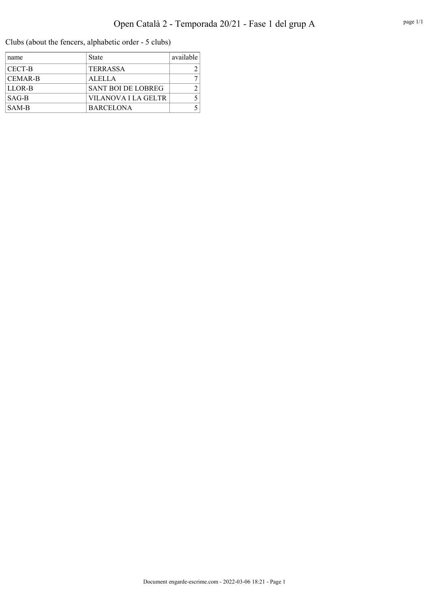Clubs (about the fencers, alphabetic order - 5 clubs)

| name    | <b>State</b>             | available |
|---------|--------------------------|-----------|
| CECT-B  | <b>TERRASSA</b>          |           |
| CEMAR-B | <b>ALELLA</b>            |           |
| LLOR-B  | <b>SANT BOLDE LOBREG</b> |           |
| $SAG-B$ | VILANOVA I LA GELTR      |           |
| SAM-B   | <b>BARCELONA</b>         |           |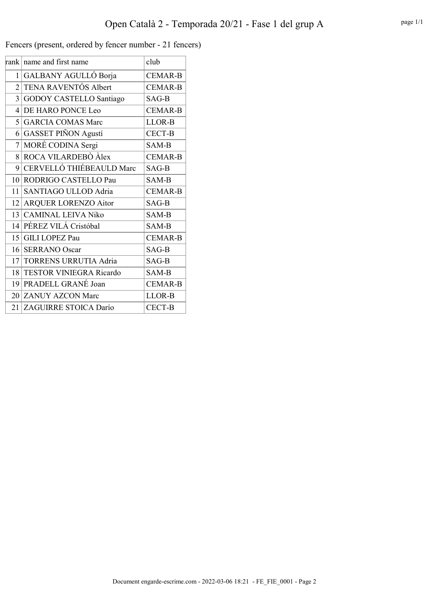Fencers (present, ordered by fencer number - 21 fencers)

|                 | rank name and first name       | club           |
|-----------------|--------------------------------|----------------|
|                 | 1 GALBANY AGULLÓ Borja         | <b>CEMAR-B</b> |
|                 | 2 TENA RAVENTÓS Albert         | <b>CEMAR-B</b> |
|                 | 3 GODOY CASTELLO Santiago      | $SAG-B$        |
| 4               | DE HARO PONCE Leo              | <b>CEMAR-B</b> |
|                 | 5 GARCIA COMAS Marc            | LLOR-B         |
|                 | $6 GASSET$ PIÑON Agustí        | <b>CECT-B</b>  |
| $\overline{7}$  | MORÉ CODINA Sergi              | SAM-B          |
| 8 <sup>1</sup>  | ROCA VILARDEBÒ Àlex            | <b>CEMAR-B</b> |
|                 | 9 CERVELLÓ THIÉBEAULD Marc     | SAG-B          |
| 10 <sup>1</sup> | RODRIGO CASTELLO Pau           | SAM-B          |
| 11              | SANTIAGO ULLOD Adria           | <b>CEMAR-B</b> |
| 12              | <b>ARQUER LORENZO Aitor</b>    | SAG-B          |
|                 | 13 CAMINAL LEIVA Niko          | SAM-B          |
|                 | 14 PÉREZ VILÁ Cristóbal        | SAM-B          |
|                 | 15 GILI LOPEZ Pau              | <b>CEMAR-B</b> |
| 16 <sup>2</sup> | <b>SERRANO</b> Oscar           | SAG-B          |
|                 | 17   TORRENS URRUTIA Adria     | SAG-B          |
| $18$            | <b>TESTOR VINIEGRA Ricardo</b> | SAM-B          |
|                 | 19 PRADELL GRANÉ Joan          | <b>CEMAR-B</b> |
|                 | 20 ZANUY AZCON Marc            | LLOR-B         |
| 21 <sup>1</sup> | ZAGUIRRE STOICA Darío          | <b>CECT-B</b>  |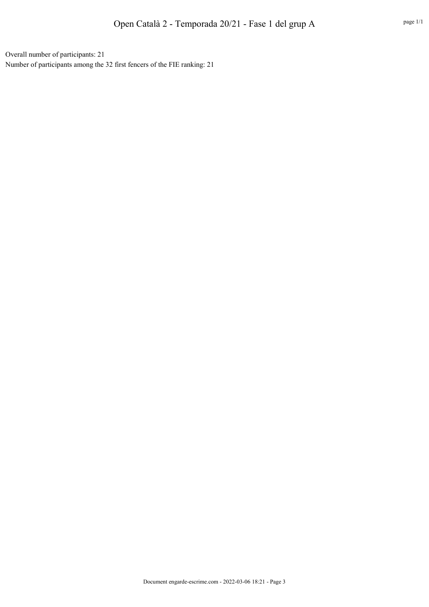Overall number of participants: 21 Number of participants among the 32 first fencers of the FIE ranking: 21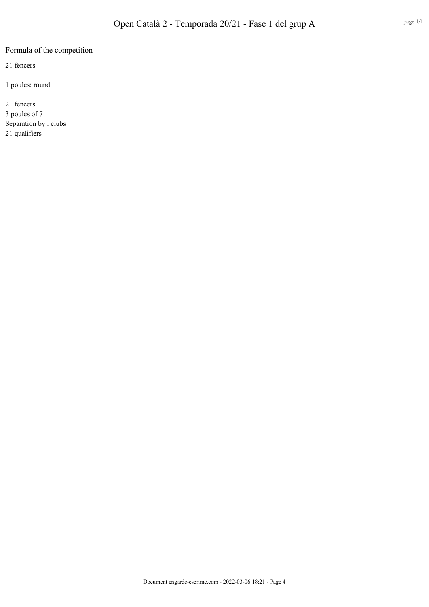## Formula of the competition

21 fencers

1 poules: round

21 fencers 3 poules of 7 Separation by : clubs 21 qualifiers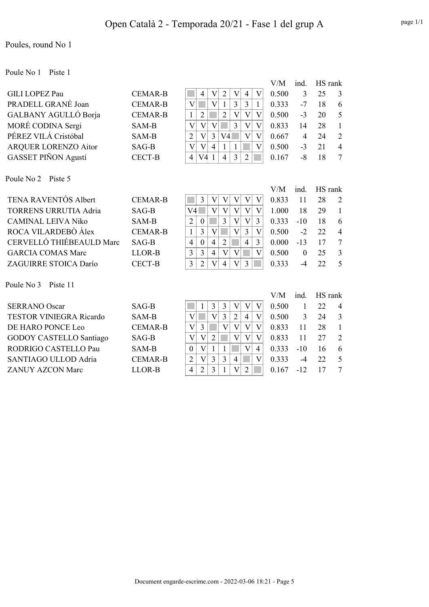## Poules, round No 1

Poule No 1 Piste 1

|                                |                |                         |                         |                         |                         |                           |                         |                         | V/M   | ind.           | HS rank |                |
|--------------------------------|----------------|-------------------------|-------------------------|-------------------------|-------------------------|---------------------------|-------------------------|-------------------------|-------|----------------|---------|----------------|
| <b>GILI LOPEZ Pau</b>          | <b>CEMAR-B</b> |                         | 4                       | $\rm V$                 | $\overline{2}$          | $\mathbf{V}$              | $\overline{4}$          | $\rm V$                 | 0.500 | 3              | 25      | 3              |
| PRADELL GRANÉ Joan             | <b>CEMAR-B</b> | $\overline{V}$          |                         | $\overline{V}$          | 1                       | $\overline{3}$            | $\overline{3}$          | $\mathbf{1}$            | 0.333 | $-7$           | 18      | 6              |
| GALBANY AGULLÓ Borja           | <b>CEMAR-B</b> | $\mathbf{1}$            | $\overline{2}$          |                         | $\overline{2}$          | $\overline{\mathsf{V}}$   | $\mathbf{V}$            | $\overline{\mathsf{V}}$ | 0.500 | $-3$           | 20      | 5              |
| MORÉ CODINA Sergi              | SAM-B          | V                       | $\overline{\mathbf{V}}$ | $\overline{V}$          |                         | $\overline{3}$            | $\overline{V}$          | $\overline{\mathsf{V}}$ | 0.833 | 14             | 28      | 1              |
| PÉREZ VILÁ Cristóbal           | SAM-B          | $\overline{2}$          | $\overline{\mathrm{V}}$ | $\overline{3}$          | V <sub>4</sub>          |                           | V                       | $\overline{V}$          | 0.667 | $\overline{4}$ | 24      | $\overline{2}$ |
| <b>ARQUER LORENZO Aitor</b>    | SAG-B          | $\overline{\mathsf{V}}$ | $\overline{\mathrm{V}}$ | $\overline{4}$          | 1                       | $\mathbf{1}$              |                         | $\overline{\mathsf{V}}$ | 0.500 | $-3$           | 21      | $\overline{4}$ |
| <b>GASSET PIÑON Agustí</b>     | <b>CECT-B</b>  | $\overline{4}$          | V <sub>4</sub>          | 1                       | $\overline{4}$          | 3                         | $\overline{2}$          |                         | 0.167 | $-8$           | 18      | 7              |
| Poule No 2<br>Piste 5          |                |                         |                         |                         |                         |                           |                         |                         |       |                |         |                |
|                                |                |                         |                         |                         |                         |                           |                         |                         | V/M   | ind.           | HS rank |                |
| TENA RAVENTÓS Albert           | <b>CEMAR-B</b> |                         | 3                       | $\mathbf V$             | V                       | $\ensuremath{\mathbf{V}}$ | $\mathbf V$             | V                       | 0.833 | 11             | 28      | 2              |
| <b>TORRENS URRUTIA Adria</b>   | SAG-B          | V4                      |                         | $\overline{\mathsf{V}}$ | $\overline{\mathsf{V}}$ | $\mathbf{V}$              | V                       | $\overline{\mathsf{V}}$ | 1.000 | 18             | 29      | 1              |
| <b>CAMINAL LEIVA Niko</b>      | SAM-B          | $\overline{2}$          | $\boldsymbol{0}$        |                         | 3                       | $\mathbf{V}$              | $\overline{\mathsf{V}}$ | 3                       | 0.333 | $-10$          | 18      | 6              |
| ROCA VILARDEBÒ Àlex            | <b>CEMAR-B</b> | 1                       | $\overline{3}$          | V                       |                         | V                         | $\overline{3}$          | $\rm V$                 | 0.500 | $-2$           | 22      | $\overline{4}$ |
| CERVELLÓ THIÉBEAULD Marc       | SAG-B          | $\overline{4}$          | $\boldsymbol{0}$        | $\overline{4}$          | $\overline{2}$          |                           | $\overline{4}$          | $\overline{3}$          | 0.000 | $-13$          | 17      | 7              |
| <b>GARCIA COMAS Marc</b>       | LLOR-B         | 3                       | $\overline{3}$          | $\overline{4}$          | $\overline{\mathsf{V}}$ | $\mathbf{V}$              |                         | $\overline{\mathsf{V}}$ | 0.500 | $\Omega$       | 25      | 3              |
| ZAGUIRRE STOICA Darío          | <b>CECT-B</b>  | $\overline{3}$          | $\overline{2}$          | $\overline{\mathsf{V}}$ | $\overline{4}$          | $\overline{\mathbf{V}}$   | $\overline{3}$          |                         | 0.333 | $-4$           | 22      | 5              |
| Poule No 3<br>Piste 11         |                |                         |                         |                         |                         |                           |                         |                         |       |                |         |                |
|                                |                |                         |                         |                         |                         |                           |                         |                         | V/M   | ind.           | HS rank |                |
| <b>SERRANO Oscar</b>           | $SAG-B$        |                         | 1                       | 3                       | $\overline{3}$          | $\boldsymbol{\mathrm{V}}$ | $\mathbf{V}$            | V                       | 0.500 | 1              | 22      | $\overline{4}$ |
| <b>TESTOR VINIEGRA Ricardo</b> | SAM-B          | V                       |                         | $\mathbf V$             | $\overline{3}$          | $\overline{2}$            | $\overline{4}$          | $\rm V$                 | 0.500 | 3              | 24      | 3              |
| DE HARO PONCE Leo              | <b>CEMAR-B</b> | $\overline{\mathsf{V}}$ | $\overline{3}$          |                         | V                       | $\mathbf{V}$              | V                       | $\overline{\mathsf{V}}$ | 0.833 | 11             | 28      | 1              |
| <b>GODOY CASTELLO Santiago</b> | $SAG-B$        | V                       | $\overline{\mathsf{V}}$ | $\overline{2}$          |                         | $\mathbf{V}$              | $\mathbf{V}$            | $\overline{\mathsf{V}}$ | 0.833 | 11             | 27      | $\overline{2}$ |
| RODRIGO CASTELLO Pau           | SAM-B          | $\mathbf{0}$            | $\overline{\mathrm{V}}$ | $\mathbf{1}$            | $\mathbf{1}$            |                           | $\overline{\mathbf{V}}$ | $\overline{4}$          | 0.333 | $-10$          | 16      | 6              |
| <b>SANTIAGO ULLOD Adria</b>    | <b>CEMAR-B</b> | $\overline{2}$          | $\overline{\mathsf{V}}$ | 3                       | 3                       | $\overline{4}$            |                         | $\rm V$                 | 0.333 | $-4$           | 22      | 5              |
| <b>ZANUY AZCON Marc</b>        | LLOR-B         | $\overline{4}$          | $\overline{2}$          | $\overline{3}$          | 1                       | $\mathbf{V}$              | $\overline{2}$          |                         | 0.167 | $-12$          | 17      | $\overline{7}$ |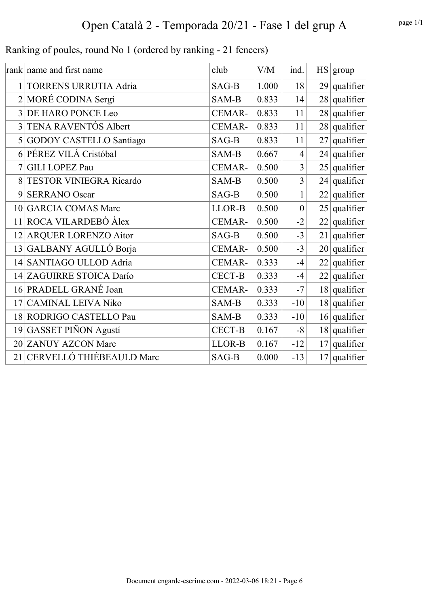|  | Ranking of poules, round No 1 (ordered by ranking - 21 fencers) |  |  |
|--|-----------------------------------------------------------------|--|--|
|--|-----------------------------------------------------------------|--|--|

|                 | rank name and first name       | club          | V/M   | ind.             |    | HS group       |
|-----------------|--------------------------------|---------------|-------|------------------|----|----------------|
| 1               | TORRENS URRUTIA Adria          | SAG-B         | 1.000 | 18               |    | $29$ qualifier |
|                 | MORÉ CODINA Sergi              | SAM-B         | 0.833 | 14               |    | $28$ qualifier |
| 3               | DE HARO PONCE Leo              | <b>CEMAR-</b> | 0.833 | 11               |    | $28$ qualifier |
| 3               | TENA RAVENTÓS Albert           | CEMAR-        | 0.833 | 11               |    | $28$ qualifier |
| 5               | <b>GODOY CASTELLO Santiago</b> | SAG-B         | 0.833 | 11               | 27 | qualifier      |
| 6               | PÉREZ VILÁ Cristóbal           | SAM-B         | 0.667 | $\overline{4}$   |    | $24$ qualifier |
| 7               | <b>GILI LOPEZ Pau</b>          | CEMAR-        | 0.500 | $\overline{3}$   |    | $25$ qualifier |
| 8               | TESTOR VINIEGRA Ricardo        | SAM-B         | 0.500 | 3                |    | $24$ qualifier |
| 9               | <b>SERRANO Oscar</b>           | SAG-B         | 0.500 | $\mathbf{1}$     |    | $22$ qualifier |
| 10 <sup>1</sup> | <b>GARCIA COMAS Marc</b>       | LLOR-B        | 0.500 | $\boldsymbol{0}$ |    | $25$ qualifier |
|                 | 11 ROCA VILARDEBÒ Àlex         | <b>CEMAR-</b> | 0.500 | $-2$             |    | $22$ qualifier |
|                 | 12 ARQUER LORENZO Aitor        | SAG-B         | 0.500 | $-3$             |    | $21$ qualifier |
|                 | 13 GALBANY AGULLÓ Borja        | CEMAR-        | 0.500 | $-3$             |    | $20$ qualifier |
|                 | 14 SANTIAGO ULLOD Adria        | CEMAR-        | 0.333 | $-4$             |    | $22$ qualifier |
|                 | 14 ZAGUIRRE STOICA Darío       | <b>CECT-B</b> | 0.333 | $-4$             |    | $22$ qualifier |
|                 | 16 PRADELL GRANÉ Joan          | CEMAR-        | 0.333 | $-7$             |    | $18$ qualifier |
| 17              | <b>CAMINAL LEIVA Niko</b>      | SAM-B         | 0.333 | $-10$            |    | $18$ qualifier |
|                 | 18 RODRIGO CASTELLO Pau        | SAM-B         | 0.333 | $-10$            |    | $16$ qualifier |
|                 | 19 GASSET PIÑON Agustí         | CECT-B        | 0.167 | $-8$             |    | $18$ qualifier |
|                 | 20 ZANUY AZCON Marc            | LLOR-B        | 0.167 | $-12$            | 17 | qualifier      |
|                 | 21 CERVELLÓ THIÉBEAULD Marc    | SAG-B         | 0.000 | $-13$            |    | $17$ qualifier |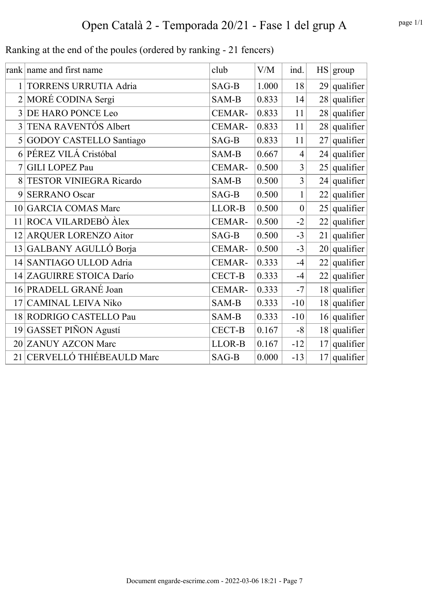|                 | rank name and first name       | club          | V/M   | ind.             |                 | HS group       |
|-----------------|--------------------------------|---------------|-------|------------------|-----------------|----------------|
| 1               | TORRENS URRUTIA Adria          | SAG-B         | 1.000 | 18               |                 | $29$ qualifier |
|                 | $2$ MORÉ CODINA Sergi          | SAM-B         | 0.833 | 14               |                 | $28$ qualifier |
| 3               | DE HARO PONCE Leo              | <b>CEMAR-</b> | 0.833 | 11               |                 | $28$ qualifier |
| 3               | TENA RAVENTÓS Albert           | CEMAR-        | 0.833 | 11               |                 | $28$ qualifier |
| 5 <sup>5</sup>  | <b>GODOY CASTELLO Santiago</b> | SAG-B         | 0.833 | 11               | 27              | qualifier      |
| 6               | PÉREZ VILÁ Cristóbal           | SAM-B         | 0.667 | $\overline{4}$   |                 | $24$ qualifier |
| 7               | <b>GILI LOPEZ Pau</b>          | CEMAR-        | 0.500 | 3                |                 | $25$ qualifier |
|                 | <b>TESTOR VINIEGRA Ricardo</b> | SAM-B         | 0.500 | 3                |                 | $24$ qualifier |
| 9               | <b>SERRANO Oscar</b>           | SAG-B         | 0.500 | $\mathbf{1}$     |                 | $22$ qualifier |
| 10 <sup>1</sup> | <b>GARCIA COMAS Marc</b>       | LLOR-B        | 0.500 | $\boldsymbol{0}$ |                 | $25$ qualifier |
|                 | 11 ROCA VILARDEBÒ Àlex         | <b>CEMAR-</b> | 0.500 | $-2$             |                 | $22$ qualifier |
|                 | 12 ARQUER LORENZO Aitor        | SAG-B         | 0.500 | $-3$             |                 | $21$ qualifier |
|                 | 13 GALBANY AGULLÓ Borja        | CEMAR-        | 0.500 | $-3$             |                 | $20$ qualifier |
|                 | 14 SANTIAGO ULLOD Adria        | CEMAR-        | 0.333 | $-4$             |                 | $22$ qualifier |
|                 | 14 ZAGUIRRE STOICA Darío       | CECT-B        | 0.333 | $-4$             |                 | $22$ qualifier |
|                 | 16 PRADELL GRANÉ Joan          | <b>CEMAR-</b> | 0.333 | $-7$             |                 | $18$ qualifier |
| 17              | <b>CAMINAL LEIVA Niko</b>      | SAM-B         | 0.333 | $-10$            |                 | $18$ qualifier |
|                 | 18 RODRIGO CASTELLO Pau        | SAM-B         | 0.333 | $-10$            |                 | $16$ qualifier |
|                 | 19 GASSET PIÑON Agustí         | CECT-B        | 0.167 | $-8$             |                 | $18$ qualifier |
|                 | 20 ZANUY AZCON Marc            | LLOR-B        | 0.167 | $-12$            | 17 <sup>2</sup> | qualifier      |
|                 | 21 CERVELLÓ THIÉBEAULD Marc    | SAG-B         | 0.000 | $-13$            |                 | $17$ qualifier |